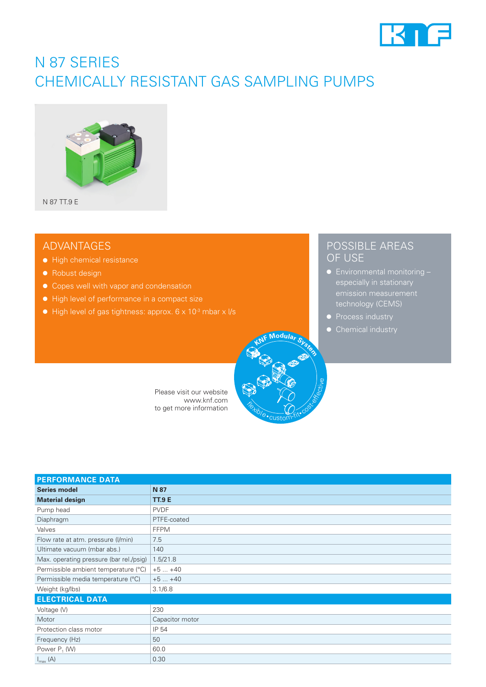

## N 87 SERIES CHEMICALLY RESISTANT GAS SAMPLING PUMPS



## ADVANTAGES

- High chemical resistance
- Robust design
- Copes well with vapor and condensation
- High level of performance in a compact size
- $\bullet$  High level of gas tightness: approx. 6 x 10<sup>-3</sup> mbar x l/s

### POSSIBLE AREAS OF USE

- especially in stationary technology (CEMS)
- 
- Chemical industry

Please visit our website www.knf.com to get more information

| <b>PERFORMANCE DATA</b>                 |                 |  |  |  |
|-----------------------------------------|-----------------|--|--|--|
| <b>Series model</b>                     | N 87            |  |  |  |
| <b>Material design</b>                  | <b>TT.9 E</b>   |  |  |  |
| Pump head                               | <b>PVDF</b>     |  |  |  |
| Diaphragm                               | PTFE-coated     |  |  |  |
| Valves                                  | <b>FFPM</b>     |  |  |  |
| Flow rate at atm. pressure (I/min)      | 7.5             |  |  |  |
| Ultimate vacuum (mbar abs.)             | 140             |  |  |  |
| Max. operating pressure (bar rel./psig) | 1.5/21.8        |  |  |  |
| Permissible ambient temperature (°C)    | $+5+40$         |  |  |  |
| Permissible media temperature (°C)      | $+5+40$         |  |  |  |
| Weight (kg/lbs)                         | 3.1/6.8         |  |  |  |
| <b>ELECTRICAL DATA</b>                  |                 |  |  |  |
| Voltage (V)                             | 230             |  |  |  |
| Motor                                   | Capacitor motor |  |  |  |
| Protection class motor                  | IP 54           |  |  |  |
| Frequency (Hz)                          | 50              |  |  |  |
| Power $P_1$ (W)                         | 60.0            |  |  |  |
| $I_{\text{max}}(A)$                     | 0.30            |  |  |  |

**Flexible** 

custom-fit• cost-effective

**Modula**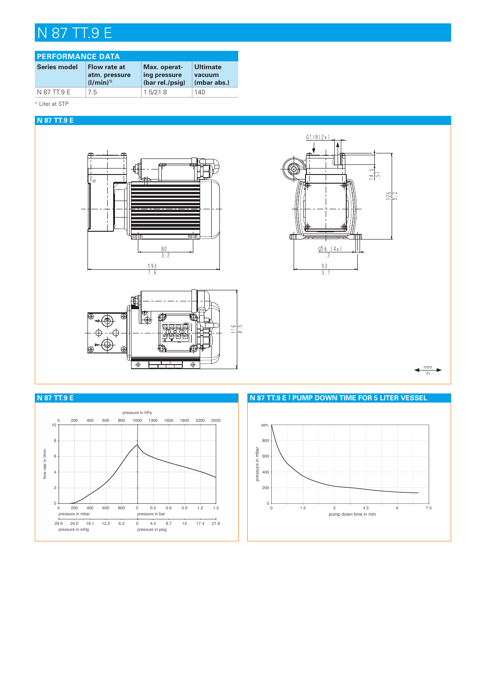# N 87 TT.9 E

| <b>PERFORMANCE DATA</b> |                                                |                                                 |                                   |  |  |  |
|-------------------------|------------------------------------------------|-------------------------------------------------|-----------------------------------|--|--|--|
| <b>Series model</b>     | Flow rate at<br>atm. pressure<br>$(1/min)^{1}$ | Max. operat-<br>ing pressure<br>(bar rel./psig) | Ultimate<br>vacuum<br>(mbar abs.) |  |  |  |
| N 87 TT.9 E             | 75                                             | 1.5/21.8                                        | 140                               |  |  |  |

1) Liter at STP

#### **N 87 TT.9 E**







mm in